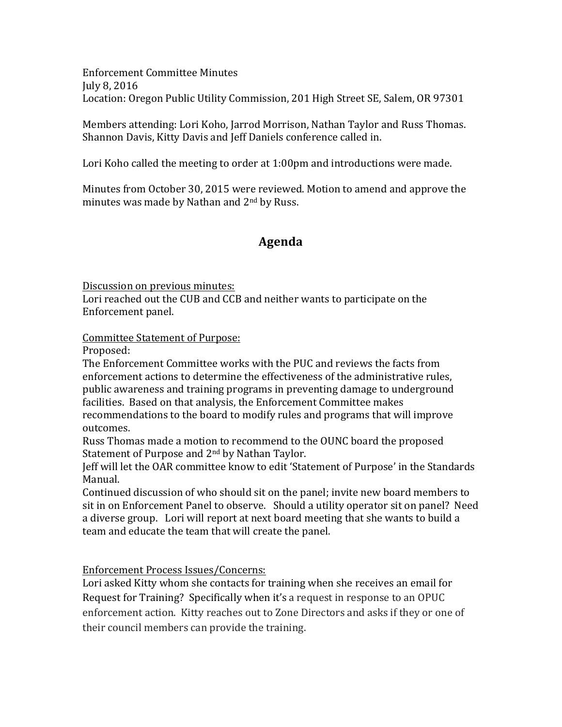Enforcement Committee Minutes July 8, 2016 Location: Oregon Public Utility Commission, 201 High Street SE, Salem, OR 97301

Members attending: Lori Koho, Jarrod Morrison, Nathan Taylor and Russ Thomas. Shannon Davis, Kitty Davis and Jeff Daniels conference called in.

Lori Koho called the meeting to order at  $1:00$  pm and introductions were made.

Minutes from October 30, 2015 were reviewed. Motion to amend and approve the minutes was made by Nathan and 2<sup>nd</sup> by Russ.

## **Agenda**

Discussion on previous minutes:

Lori reached out the CUB and CCB and neither wants to participate on the Enforcement panel.

Committee Statement of Purpose:

Proposed: 

The Enforcement Committee works with the PUC and reviews the facts from enforcement actions to determine the effectiveness of the administrative rules, public awareness and training programs in preventing damage to underground facilities. Based on that analysis, the Enforcement Committee makes recommendations to the board to modify rules and programs that will improve outcomes. 

Russ Thomas made a motion to recommend to the OUNC board the proposed Statement of Purpose and  $2<sup>nd</sup>$  by Nathan Taylor.

Jeff will let the OAR committee know to edit 'Statement of Purpose' in the Standards Manual.

Continued discussion of who should sit on the panel; invite new board members to sit in on Enforcement Panel to observe. Should a utility operator sit on panel? Need a diverse group. Lori will report at next board meeting that she wants to build a team and educate the team that will create the panel.

Enforcement Process Issues/Concerns:

Lori asked Kitty whom she contacts for training when she receives an email for Request for Training? Specifically when it's a request in response to an OPUC enforcement action. Kitty reaches out to Zone Directors and asks if they or one of their council members can provide the training.